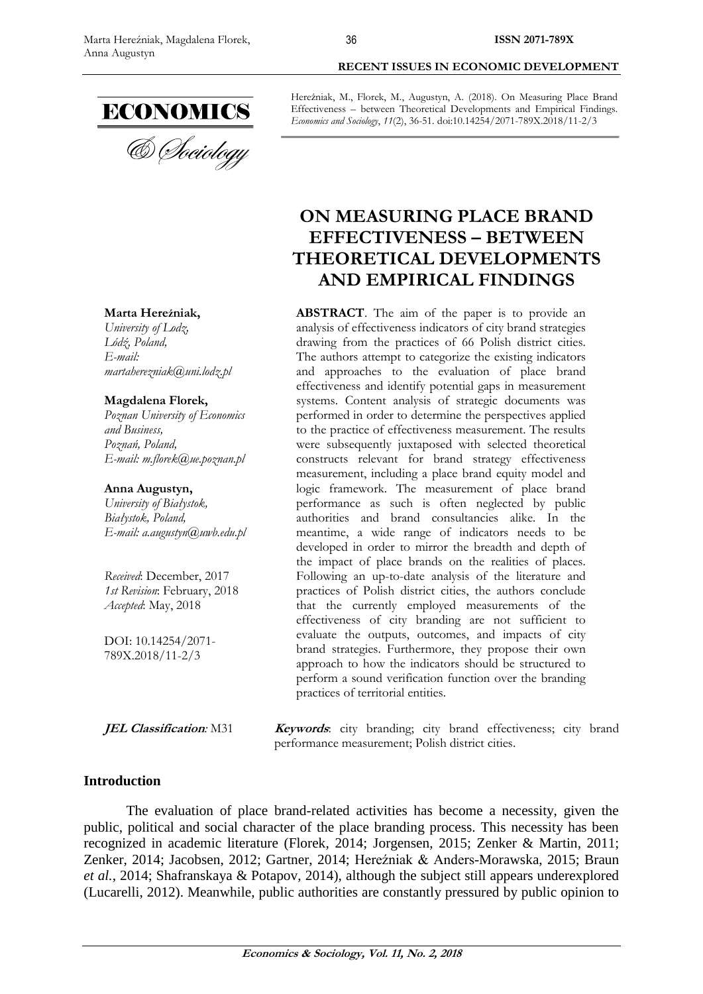

#### **Marta Hereźniak,**

*University of Lodz, Lódź, Poland, E-mail: [martaherezniak@uni.lodz.pl](mailto:martaherezniak@uni.lodz.pl)*

#### **Magdalena Florek,**

*Poznan University of Economics and Business, Poznań, Poland, E-mail: [m.florek@ue.poznan.pl](mailto:m.florek@ue.poznan.pl)*

#### **Anna Augustyn,**

*University of Białystok, Białystok, Poland, E-mail: [a.augustyn@uwb.edu.pl](mailto:a.augustyn@uwb.edu.pl)*

*Received*: December, 2017 *1st Revision*: February, 2018 *Accepted*: May, 2018

DOI: 10.14254/2071- 789X.2018/11-2/3

**RECENT ISSUES IN ECONOMIC DEVELOPMENT**

Hereźniak, M., Florek, M., Augustyn, A. (2018). On Measuring Place Brand Effectiveness – between Theoretical Developments and Empirical Findings. *Economics and Sociology*, *11*(2), 36-51. doi:10.14254/2071-789X.2018/11-2/3

# **ON MEASURING PLACE BRAND EFFECTIVENESS – BETWEEN THEORETICAL DEVELOPMENTS AND EMPIRICAL FINDINGS**

**ABSTRACT**. The aim of the paper is to provide an analysis of effectiveness indicators of city brand strategies drawing from the practices of 66 Polish district cities. The authors attempt to categorize the existing indicators and approaches to the evaluation of place brand effectiveness and identify potential gaps in measurement systems. Content analysis of strategic documents was performed in order to determine the perspectives applied to the practice of effectiveness measurement. The results were subsequently juxtaposed with selected theoretical constructs relevant for brand strategy effectiveness measurement, including a place brand equity model and logic framework. The measurement of place brand performance as such is often neglected by public authorities and brand consultancies alike. In the meantime, a wide range of indicators needs to be developed in order to mirror the breadth and depth of the impact of place brands on the realities of places. Following an up-to-date analysis of the literature and practices of Polish district cities, the authors conclude that the currently employed measurements of the effectiveness of city branding are not sufficient to evaluate the outputs, outcomes, and impacts of city brand strategies. Furthermore, they propose their own approach to how the indicators should be structured to perform a sound verification function over the branding practices of territorial entities.

**JEL Classification**: M31 **Keywords**: city branding; city brand effectiveness; city brand performance measurement; Polish district cities.

### **Introduction**

The evaluation of place brand-related activities has become a necessity, given the public, political and social character of the place branding process. This necessity has been recognized in academic literature (Florek, 2014; Jorgensen, 2015; Zenker & Martin, 2011; Zenker, 2014; Jacobsen, 2012; Gartner, 2014; Hereźniak & Anders-Morawska, 2015; Braun *et al.*, 2014; Shafranskaya & Potapov, 2014), although the subject still appears underexplored (Lucarelli, 2012). Meanwhile, public authorities are constantly pressured by public opinion to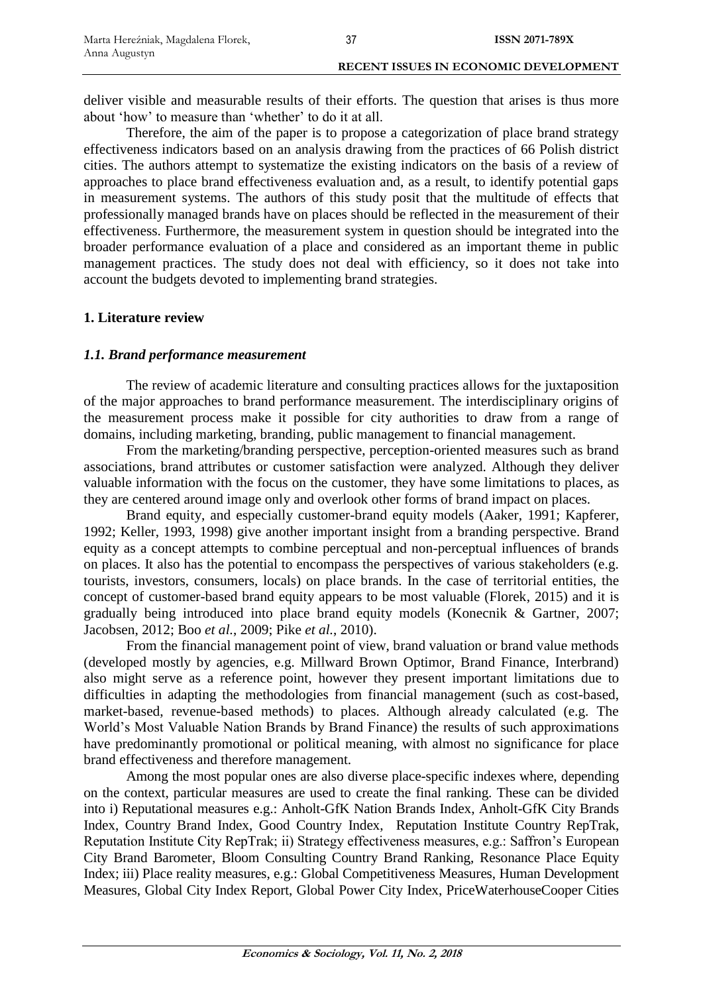deliver visible and measurable results of their efforts. The question that arises is thus more about 'how' to measure than 'whether' to do it at all.

Therefore, the aim of the paper is to propose a categorization of place brand strategy effectiveness indicators based on an analysis drawing from the practices of 66 Polish district cities. The authors attempt to systematize the existing indicators on the basis of a review of approaches to place brand effectiveness evaluation and, as a result, to identify potential gaps in measurement systems. The authors of this study posit that the multitude of effects that professionally managed brands have on places should be reflected in the measurement of their effectiveness. Furthermore, the measurement system in question should be integrated into the broader performance evaluation of a place and considered as an important theme in public management practices. The study does not deal with efficiency, so it does not take into account the budgets devoted to implementing brand strategies.

### **1. Literature review**

### *1.1. Brand performance measurement*

The review of academic literature and consulting practices allows for the juxtaposition of the major approaches to brand performance measurement. The interdisciplinary origins of the measurement process make it possible for city authorities to draw from a range of domains, including marketing, branding, public management to financial management.

From the marketing/branding perspective, perception-oriented measures such as brand associations, brand attributes or customer satisfaction were analyzed. Although they deliver valuable information with the focus on the customer, they have some limitations to places, as they are centered around image only and overlook other forms of brand impact on places.

Brand equity, and especially customer-brand equity models (Aaker, 1991; Kapferer, 1992; Keller, 1993, 1998) give another important insight from a branding perspective. Brand equity as a concept attempts to combine perceptual and non-perceptual influences of brands on places. It also has the potential to encompass the perspectives of various stakeholders (e.g. tourists, investors, consumers, locals) on place brands. In the case of territorial entities, the concept of customer-based brand equity appears to be most valuable (Florek, 2015) and it is gradually being introduced into place brand equity models (Konecnik & Gartner, 2007; Jacobsen, 2012; Boo *et al.*, 2009; Pike *et al.*, 2010).

From the financial management point of view, brand valuation or brand value methods (developed mostly by agencies, e.g. Millward Brown Optimor, Brand Finance, Interbrand) also might serve as a reference point, however they present important limitations due to difficulties in adapting the methodologies from financial management (such as cost-based, market-based, revenue-based methods) to places. Although already calculated (e.g. The World's Most Valuable Nation Brands by Brand Finance) the results of such approximations have predominantly promotional or political meaning, with almost no significance for place brand effectiveness and therefore management.

Among the most popular ones are also diverse place-specific indexes where, depending on the context, particular measures are used to create the final ranking. These can be divided into i) Reputational measures e.g.: Anholt-GfK Nation Brands Index, Anholt-GfK City Brands Index, Country Brand Index, Good Country Index, Reputation Institute Country RepTrak, Reputation Institute City RepTrak; ii) Strategy effectiveness measures, e.g.: Saffron's European City Brand Barometer, Bloom Consulting Country Brand Ranking, Resonance Place Equity Index; iii) Place reality measures, e.g.: Global Competitiveness Measures, Human Development Measures, Global City Index Report, Global Power City Index, PriceWaterhouseCooper Cities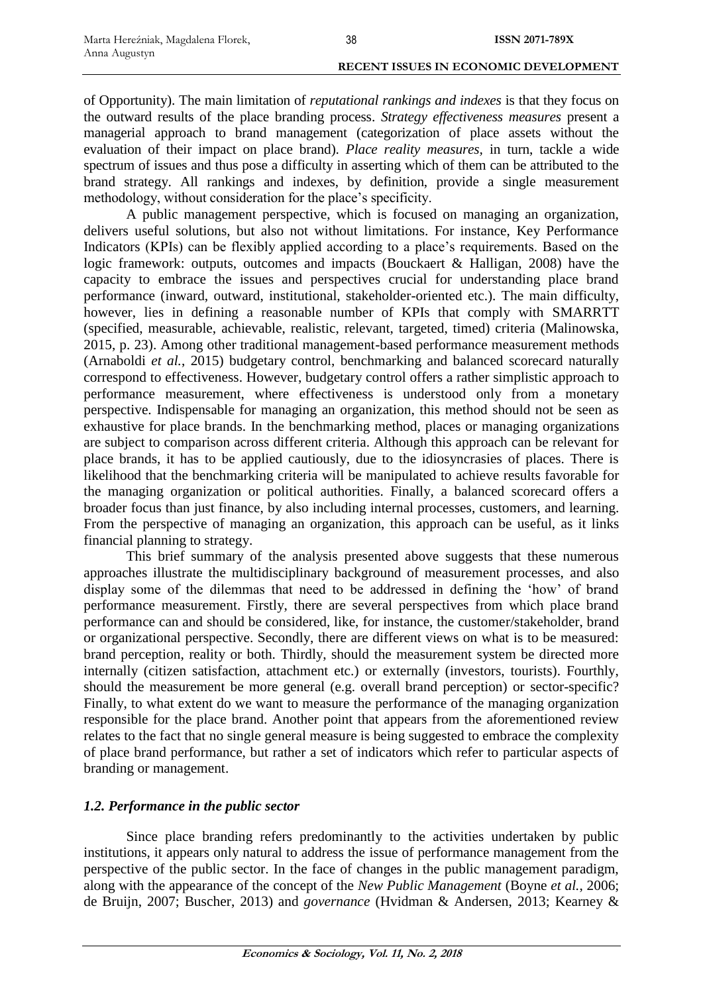of Opportunity). The main limitation of *reputational rankings and indexes* is that they focus on the outward results of the place branding process. *Strategy effectiveness measures* present a managerial approach to brand management (categorization of place assets without the evaluation of their impact on place brand). *Place reality measures,* in turn, tackle a wide spectrum of issues and thus pose a difficulty in asserting which of them can be attributed to the brand strategy. All rankings and indexes, by definition, provide a single measurement methodology, without consideration for the place's specificity.

A public management perspective, which is focused on managing an organization, delivers useful solutions, but also not without limitations. For instance, Key Performance Indicators (KPIs) can be flexibly applied according to a place's requirements. Based on the logic framework: outputs, outcomes and impacts (Bouckaert & Halligan, 2008) have the capacity to embrace the issues and perspectives crucial for understanding place brand performance (inward, outward, institutional, stakeholder-oriented etc.). The main difficulty, however, lies in defining a reasonable number of KPIs that comply with SMARRTT (specified, measurable, achievable, realistic, relevant, targeted, timed) criteria (Malinowska, 2015, p. 23). Among other traditional management-based performance measurement methods (Arnaboldi *et al.*, 2015) budgetary control, benchmarking and balanced scorecard naturally correspond to effectiveness. However, budgetary control offers a rather simplistic approach to performance measurement, where effectiveness is understood only from a monetary perspective. Indispensable for managing an organization, this method should not be seen as exhaustive for place brands. In the benchmarking method, places or managing organizations are subject to comparison across different criteria. Although this approach can be relevant for place brands, it has to be applied cautiously, due to the idiosyncrasies of places. There is likelihood that the benchmarking criteria will be manipulated to achieve results favorable for the managing organization or political authorities. Finally, a balanced scorecard offers a broader focus than just finance, by also including internal processes, customers, and learning. From the perspective of managing an organization, this approach can be useful, as it links financial planning to strategy.

This brief summary of the analysis presented above suggests that these numerous approaches illustrate the multidisciplinary background of measurement processes, and also display some of the dilemmas that need to be addressed in defining the 'how' of brand performance measurement. Firstly, there are several perspectives from which place brand performance can and should be considered, like, for instance, the customer/stakeholder, brand or organizational perspective. Secondly, there are different views on what is to be measured: brand perception, reality or both. Thirdly, should the measurement system be directed more internally (citizen satisfaction, attachment etc.) or externally (investors, tourists). Fourthly, should the measurement be more general (e.g. overall brand perception) or sector-specific? Finally, to what extent do we want to measure the performance of the managing organization responsible for the place brand. Another point that appears from the aforementioned review relates to the fact that no single general measure is being suggested to embrace the complexity of place brand performance, but rather a set of indicators which refer to particular aspects of branding or management.

### *1.2. Performance in the public sector*

Since place branding refers predominantly to the activities undertaken by public institutions, it appears only natural to address the issue of performance management from the perspective of the public sector. In the face of changes in the public management paradigm, along with the appearance of the concept of the *New Public Management* (Boyne *et al.*, 2006; de Bruijn, 2007; Buscher, 2013) and *governance* (Hvidman & Andersen, 2013; Kearney &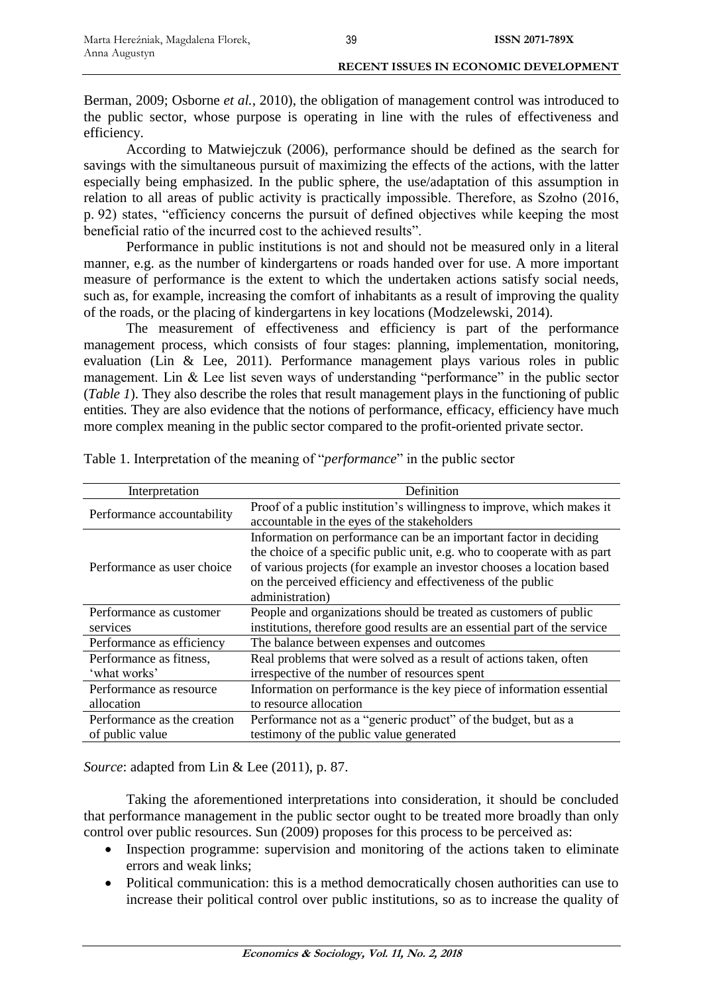Berman, 2009; Osborne *et al.*, 2010), the obligation of management control was introduced to the public sector, whose purpose is operating in line with the rules of effectiveness and efficiency.

According to Matwiejczuk (2006), performance should be defined as the search for savings with the simultaneous pursuit of maximizing the effects of the actions, with the latter especially being emphasized. In the public sphere, the use/adaptation of this assumption in relation to all areas of public activity is practically impossible. Therefore, as Szołno (2016, p. 92) states, "efficiency concerns the pursuit of defined objectives while keeping the most beneficial ratio of the incurred cost to the achieved results".

Performance in public institutions is not and should not be measured only in a literal manner, e.g. as the number of kindergartens or roads handed over for use. A more important measure of performance is the extent to which the undertaken actions satisfy social needs, such as, for example, increasing the comfort of inhabitants as a result of improving the quality of the roads, or the placing of kindergartens in key locations (Modzelewski, 2014).

The measurement of effectiveness and efficiency is part of the performance management process, which consists of four stages: planning, implementation, monitoring, evaluation (Lin & Lee, 2011). Performance management plays various roles in public management. Lin & Lee list seven ways of understanding "performance" in the public sector (*Table 1*). They also describe the roles that result management plays in the functioning of public entities. They are also evidence that the notions of performance, efficacy, efficiency have much more complex meaning in the public sector compared to the profit-oriented private sector.

| Interpretation                                 | Definition                                                                                                                                                                                                                                                                                               |
|------------------------------------------------|----------------------------------------------------------------------------------------------------------------------------------------------------------------------------------------------------------------------------------------------------------------------------------------------------------|
| Performance accountability                     | Proof of a public institution's willingness to improve, which makes it<br>accountable in the eyes of the stakeholders                                                                                                                                                                                    |
| Performance as user choice                     | Information on performance can be an important factor in deciding<br>the choice of a specific public unit, e.g. who to cooperate with as part<br>of various projects (for example an investor chooses a location based<br>on the perceived efficiency and effectiveness of the public<br>administration) |
| Performance as customer<br>services            | People and organizations should be treated as customers of public<br>institutions, therefore good results are an essential part of the service                                                                                                                                                           |
| Performance as efficiency                      | The balance between expenses and outcomes                                                                                                                                                                                                                                                                |
| Performance as fitness,<br>'what works'        | Real problems that were solved as a result of actions taken, often<br>irrespective of the number of resources spent                                                                                                                                                                                      |
| Performance as resource<br>allocation          | Information on performance is the key piece of information essential<br>to resource allocation                                                                                                                                                                                                           |
| Performance as the creation<br>of public value | Performance not as a "generic product" of the budget, but as a<br>testimony of the public value generated                                                                                                                                                                                                |

Table 1. Interpretation of the meaning of "*performance*" in the public sector

*Source*: adapted from Lin & Lee (2011), p. 87.

Taking the aforementioned interpretations into consideration, it should be concluded that performance management in the public sector ought to be treated more broadly than only control over public resources. Sun (2009) proposes for this process to be perceived as:

- Inspection programme: supervision and monitoring of the actions taken to eliminate errors and weak links;
- Political communication: this is a method democratically chosen authorities can use to increase their political control over public institutions, so as to increase the quality of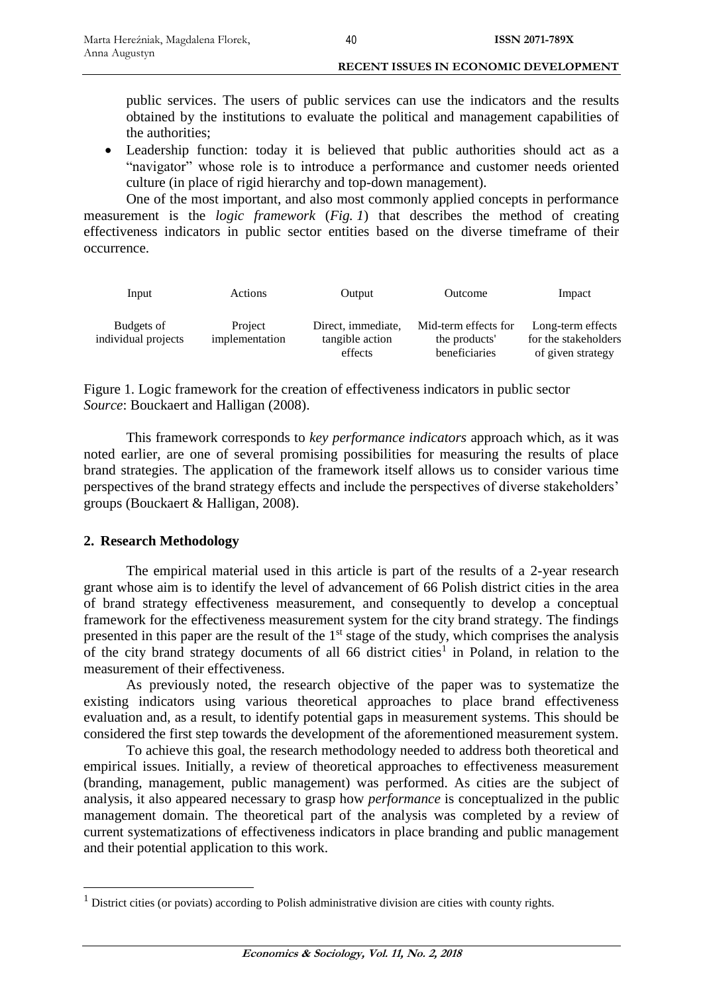public services. The users of public services can use the indicators and the results obtained by the institutions to evaluate the political and management capabilities of the authorities;

 Leadership function: today it is believed that public authorities should act as a "navigator" whose role is to introduce a performance and customer needs oriented culture (in place of rigid hierarchy and top-down management).

One of the most important, and also most commonly applied concepts in performance measurement is the *logic framework* (*Fig. 1*) that describes the method of creating effectiveness indicators in public sector entities based on the diverse timeframe of their occurrence.

| Input                             | Actions                   | Output                                | Outcome                               | Impact                                    |
|-----------------------------------|---------------------------|---------------------------------------|---------------------------------------|-------------------------------------------|
| Budgets of<br>individual projects | Project<br>implementation | Direct, immediate,<br>tangible action | Mid-term effects for<br>the products' | Long-term effects<br>for the stakeholders |
|                                   |                           | effects                               | beneficiaries                         | of given strategy                         |

Figure 1. Logic framework for the creation of effectiveness indicators in public sector *Source*: Bouckaert and Halligan (2008).

This framework corresponds to *key performance indicators* approach which, as it was noted earlier, are one of several promising possibilities for measuring the results of place brand strategies. The application of the framework itself allows us to consider various time perspectives of the brand strategy effects and include the perspectives of diverse stakeholders' groups (Bouckaert & Halligan, 2008).

### **2. Research Methodology**

 $\overline{a}$ 

The empirical material used in this article is part of the results of a 2-year research grant whose aim is to identify the level of advancement of 66 Polish district cities in the area of brand strategy effectiveness measurement, and consequently to develop a conceptual framework for the effectiveness measurement system for the city brand strategy. The findings presented in this paper are the result of the 1<sup>st</sup> stage of the study, which comprises the analysis of the city brand strategy documents of all  $66$  district cities<sup>1</sup> in Poland, in relation to the measurement of their effectiveness.

As previously noted, the research objective of the paper was to systematize the existing indicators using various theoretical approaches to place brand effectiveness evaluation and, as a result, to identify potential gaps in measurement systems. This should be considered the first step towards the development of the aforementioned measurement system.

To achieve this goal, the research methodology needed to address both theoretical and empirical issues. Initially, a review of theoretical approaches to effectiveness measurement (branding, management, public management) was performed. As cities are the subject of analysis, it also appeared necessary to grasp how *performance* is conceptualized in the public management domain. The theoretical part of the analysis was completed by a review of current systematizations of effectiveness indicators in place branding and public management and their potential application to this work.

 $<sup>1</sup>$  District cities (or poviats) according to Polish administrative division are cities with county rights.</sup>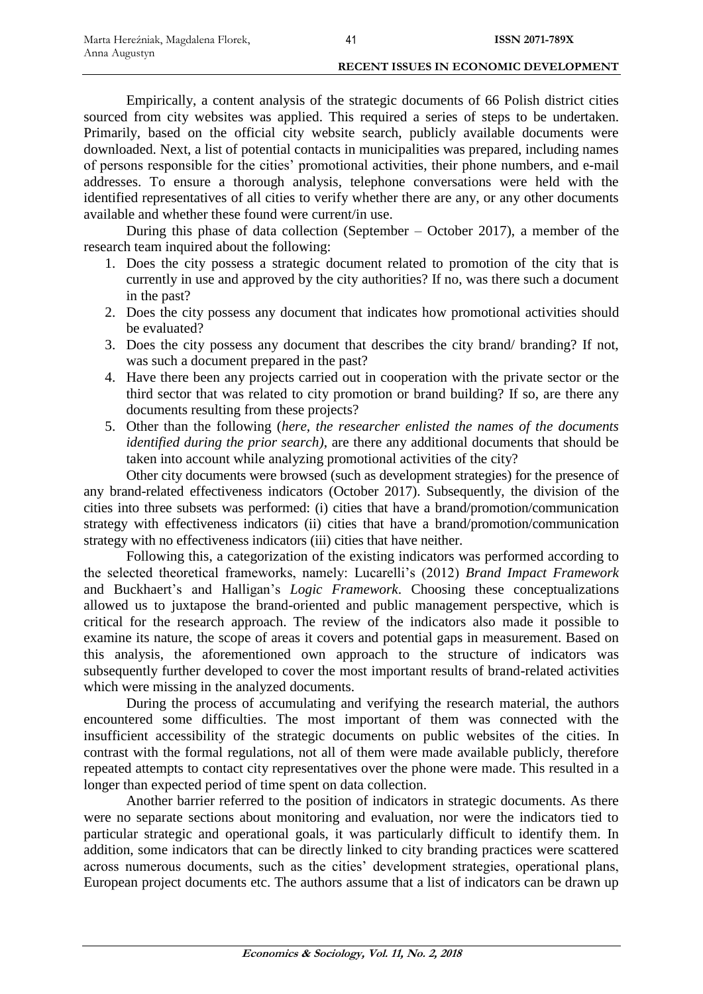Empirically, a content analysis of the strategic documents of 66 Polish district cities sourced from city websites was applied. This required a series of steps to be undertaken. Primarily, based on the official city website search, publicly available documents were downloaded. Next, a list of potential contacts in municipalities was prepared, including names of persons responsible for the cities' promotional activities, their phone numbers, and e-mail addresses. To ensure a thorough analysis, telephone conversations were held with the identified representatives of all cities to verify whether there are any, or any other documents available and whether these found were current/in use.

During this phase of data collection (September – October 2017), a member of the research team inquired about the following:

- 1. Does the city possess a strategic document related to promotion of the city that is currently in use and approved by the city authorities? If no, was there such a document in the past?
- 2. Does the city possess any document that indicates how promotional activities should be evaluated?
- 3. Does the city possess any document that describes the city brand/ branding? If not, was such a document prepared in the past?
- 4. Have there been any projects carried out in cooperation with the private sector or the third sector that was related to city promotion or brand building? If so, are there any documents resulting from these projects?
- 5. Other than the following (*here, the researcher enlisted the names of the documents identified during the prior search)*, are there any additional documents that should be taken into account while analyzing promotional activities of the city?

Other city documents were browsed (such as development strategies) for the presence of any brand-related effectiveness indicators (October 2017). Subsequently, the division of the cities into three subsets was performed: (i) cities that have a brand/promotion/communication strategy with effectiveness indicators (ii) cities that have a brand/promotion/communication strategy with no effectiveness indicators (iii) cities that have neither.

Following this, a categorization of the existing indicators was performed according to the selected theoretical frameworks, namely: Lucarelli's (2012) *Brand Impact Framework*  and Buckhaert's and Halligan's *Logic Framework*. Choosing these conceptualizations allowed us to juxtapose the brand-oriented and public management perspective, which is critical for the research approach. The review of the indicators also made it possible to examine its nature, the scope of areas it covers and potential gaps in measurement. Based on this analysis, the aforementioned own approach to the structure of indicators was subsequently further developed to cover the most important results of brand-related activities which were missing in the analyzed documents.

During the process of accumulating and verifying the research material, the authors encountered some difficulties. The most important of them was connected with the insufficient accessibility of the strategic documents on public websites of the cities. In contrast with the formal regulations, not all of them were made available publicly, therefore repeated attempts to contact city representatives over the phone were made. This resulted in a longer than expected period of time spent on data collection.

Another barrier referred to the position of indicators in strategic documents. As there were no separate sections about monitoring and evaluation, nor were the indicators tied to particular strategic and operational goals, it was particularly difficult to identify them. In addition, some indicators that can be directly linked to city branding practices were scattered across numerous documents, such as the cities' development strategies, operational plans, European project documents etc. The authors assume that a list of indicators can be drawn up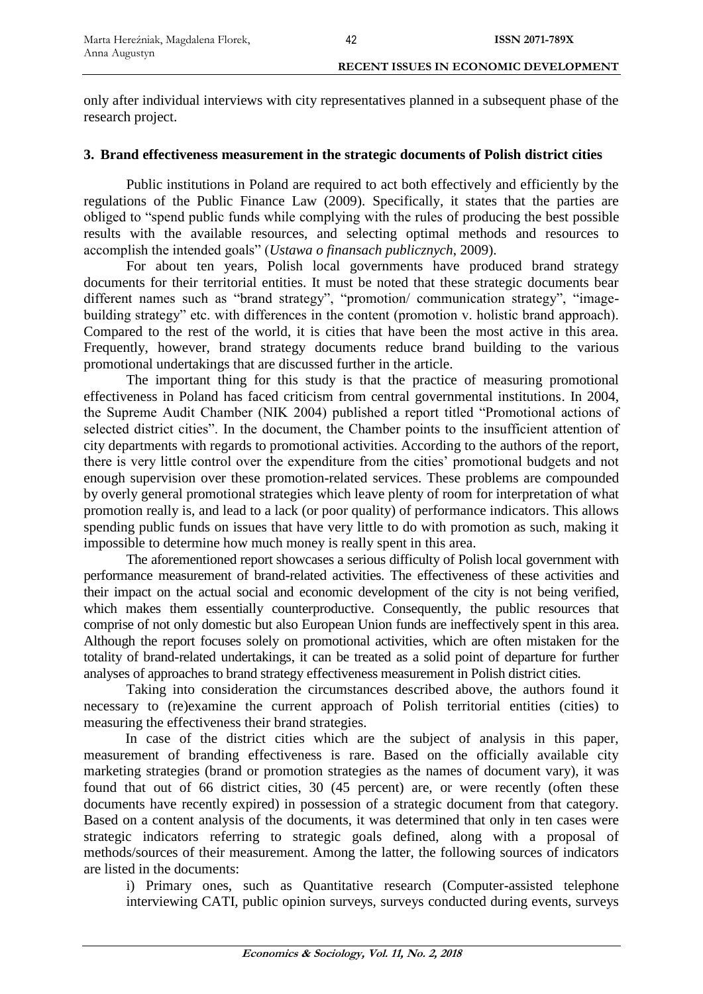only after individual interviews with city representatives planned in a subsequent phase of the research project.

### **3. Brand effectiveness measurement in the strategic documents of Polish district cities**

Public institutions in Poland are required to act both effectively and efficiently by the regulations of the Public Finance Law (2009). Specifically, it states that the parties are obliged to "spend public funds while complying with the rules of producing the best possible results with the available resources, and selecting optimal methods and resources to accomplish the intended goals" (*Ustawa o finansach publicznych*, 2009).

For about ten years, Polish local governments have produced brand strategy documents for their territorial entities. It must be noted that these strategic documents bear different names such as "brand strategy", "promotion/ communication strategy", "imagebuilding strategy" etc. with differences in the content (promotion v. holistic brand approach). Compared to the rest of the world, it is cities that have been the most active in this area. Frequently, however, brand strategy documents reduce brand building to the various promotional undertakings that are discussed further in the article.

The important thing for this study is that the practice of measuring promotional effectiveness in Poland has faced criticism from central governmental institutions. In 2004, the Supreme Audit Chamber (NIK 2004) published a report titled "Promotional actions of selected district cities". In the document, the Chamber points to the insufficient attention of city departments with regards to promotional activities. According to the authors of the report, there is very little control over the expenditure from the cities' promotional budgets and not enough supervision over these promotion-related services. These problems are compounded by overly general promotional strategies which leave plenty of room for interpretation of what promotion really is, and lead to a lack (or poor quality) of performance indicators. This allows spending public funds on issues that have very little to do with promotion as such, making it impossible to determine how much money is really spent in this area.

The aforementioned report showcases a serious difficulty of Polish local government with performance measurement of brand-related activities. The effectiveness of these activities and their impact on the actual social and economic development of the city is not being verified, which makes them essentially counterproductive. Consequently, the public resources that comprise of not only domestic but also European Union funds are ineffectively spent in this area. Although the report focuses solely on promotional activities, which are often mistaken for the totality of brand-related undertakings, it can be treated as a solid point of departure for further analyses of approaches to brand strategy effectiveness measurement in Polish district cities.

Taking into consideration the circumstances described above, the authors found it necessary to (re)examine the current approach of Polish territorial entities (cities) to measuring the effectiveness their brand strategies.

In case of the district cities which are the subject of analysis in this paper, measurement of branding effectiveness is rare. Based on the officially available city marketing strategies (brand or promotion strategies as the names of document vary), it was found that out of 66 district cities, 30 (45 percent) are, or were recently (often these documents have recently expired) in possession of a strategic document from that category. Based on a content analysis of the documents, it was determined that only in ten cases were strategic indicators referring to strategic goals defined, along with a proposal of methods/sources of their measurement. Among the latter, the following sources of indicators are listed in the documents:

i) Primary ones, such as Quantitative research (Computer-assisted telephone interviewing CATI, public opinion surveys, surveys conducted during events, surveys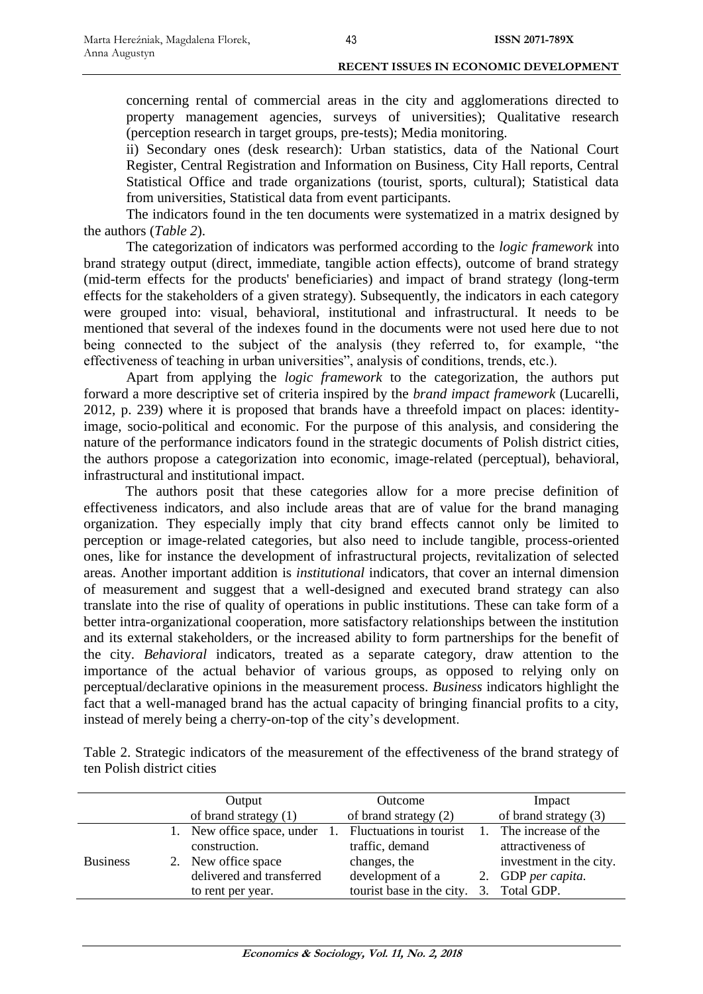concerning rental of commercial areas in the city and agglomerations directed to property management agencies, surveys of universities); Qualitative research (perception research in target groups, pre-tests); Media monitoring.

ii) Secondary ones (desk research): Urban statistics, data of the National Court Register, Central Registration and Information on Business, City Hall reports, Central Statistical Office and trade organizations (tourist, sports, cultural); Statistical data from universities, Statistical data from event participants.

The indicators found in the ten documents were systematized in a matrix designed by the authors (*Table 2*).

The categorization of indicators was performed according to the *logic framework* into brand strategy output (direct, immediate, tangible action effects), outcome of brand strategy (mid-term effects for the products' beneficiaries) and impact of brand strategy (long-term effects for the stakeholders of a given strategy). Subsequently, the indicators in each category were grouped into: visual, behavioral, institutional and infrastructural. It needs to be mentioned that several of the indexes found in the documents were not used here due to not being connected to the subject of the analysis (they referred to, for example, "the effectiveness of teaching in urban universities", analysis of conditions, trends, etc.).

Apart from applying the *logic framework* to the categorization, the authors put forward a more descriptive set of criteria inspired by the *brand impact framework* (Lucarelli, 2012, p. 239) where it is proposed that brands have a threefold impact on places: identityimage, socio-political and economic. For the purpose of this analysis, and considering the nature of the performance indicators found in the strategic documents of Polish district cities, the authors propose a categorization into economic, image-related (perceptual), behavioral, infrastructural and institutional impact.

The authors posit that these categories allow for a more precise definition of effectiveness indicators, and also include areas that are of value for the brand managing organization. They especially imply that city brand effects cannot only be limited to perception or image-related categories, but also need to include tangible, process-oriented ones, like for instance the development of infrastructural projects, revitalization of selected areas. Another important addition is *institutional* indicators, that cover an internal dimension of measurement and suggest that a well-designed and executed brand strategy can also translate into the rise of quality of operations in public institutions. These can take form of a better intra-organizational cooperation, more satisfactory relationships between the institution and its external stakeholders, or the increased ability to form partnerships for the benefit of the city. *Behavioral* indicators, treated as a separate category, draw attention to the importance of the actual behavior of various groups, as opposed to relying only on perceptual/declarative opinions in the measurement process. *Business* indicators highlight the fact that a well-managed brand has the actual capacity of bringing financial profits to a city, instead of merely being a cherry-on-top of the city's development.

Table 2. Strategic indicators of the measurement of the effectiveness of the brand strategy of ten Polish district cities

|                 | Output |                            |                | Outcome                   | Impact                  |
|-----------------|--------|----------------------------|----------------|---------------------------|-------------------------|
|                 |        | of brand strategy (1)      |                | of brand strategy (2)     | of brand strategy (3)   |
|                 |        | 1. New office space, under | $\mathbf{1}$ . | Fluctuations in tourist   | 1. The increase of the  |
|                 |        | construction.              |                | traffic, demand           | attractiveness of       |
| <b>Business</b> |        | 2. New office space        |                | changes, the              | investment in the city. |
|                 |        | delivered and transferred  |                | development of a          | 2. GDP per capita.      |
|                 |        | to rent per year.          |                | tourist base in the city. | 3. Total GDP.           |
|                 |        |                            |                |                           |                         |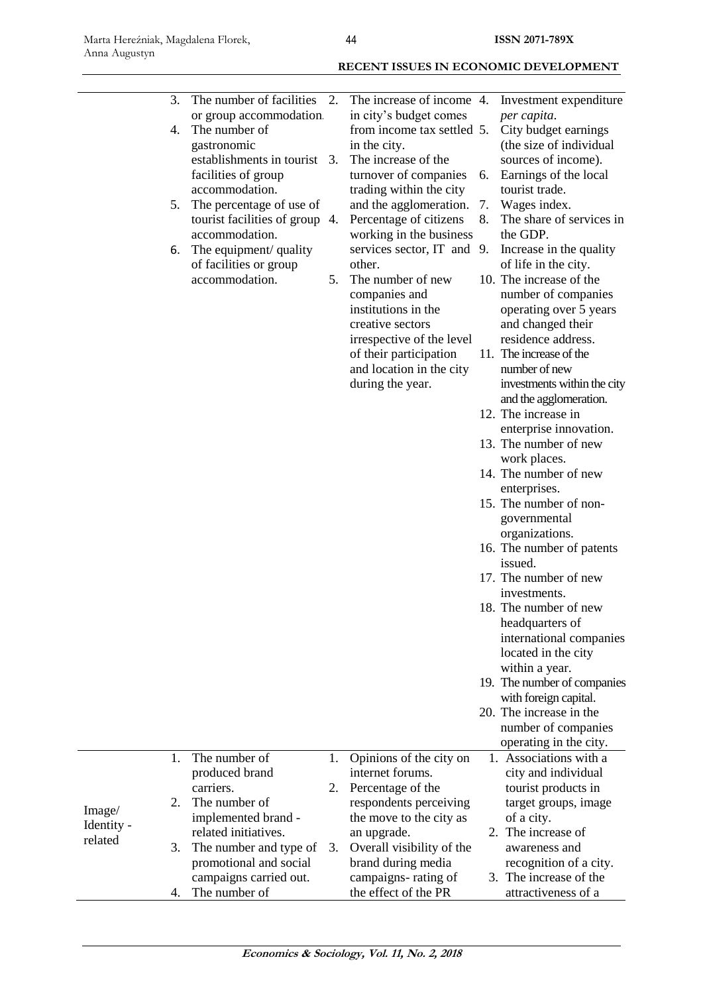|            | 3. | The number of facilities       | 2. | The increase of income 4.            |    | Investment expenditure                               |
|------------|----|--------------------------------|----|--------------------------------------|----|------------------------------------------------------|
|            |    | or group accommodation.        |    | in city's budget comes               |    | per capita.                                          |
|            | 4. | The number of                  |    | from income tax settled 5.           |    | City budget earnings                                 |
|            |    | gastronomic                    |    | in the city.                         |    | (the size of individual                              |
|            |    | establishments in tourist 3.   |    | The increase of the                  |    | sources of income).                                  |
|            |    | facilities of group            |    | turnover of companies                | 6. | Earnings of the local                                |
|            |    | accommodation.                 |    | trading within the city              |    | tourist trade.                                       |
|            | 5. | The percentage of use of       |    | and the agglomeration.               | 7. | Wages index.                                         |
|            |    | tourist facilities of group 4. |    | Percentage of citizens               | 8. | The share of services in                             |
|            |    | accommodation.                 |    | working in the business              |    | the GDP.                                             |
|            | 6. | The equipment/ quality         |    | services sector, IT and 9.           |    | Increase in the quality                              |
|            |    | of facilities or group         |    | other.                               |    | of life in the city.<br>10. The increase of the      |
|            |    | accommodation.                 | 5. | The number of new                    |    |                                                      |
|            |    |                                |    | companies and<br>institutions in the |    | number of companies<br>operating over 5 years        |
|            |    |                                |    | creative sectors                     |    | and changed their                                    |
|            |    |                                |    | irrespective of the level            |    | residence address.                                   |
|            |    |                                |    | of their participation               |    | 11. The increase of the                              |
|            |    |                                |    | and location in the city             |    | number of new                                        |
|            |    |                                |    | during the year.                     |    | investments within the city                          |
|            |    |                                |    |                                      |    | and the agglomeration.                               |
|            |    |                                |    |                                      |    | 12. The increase in                                  |
|            |    |                                |    |                                      |    | enterprise innovation.                               |
|            |    |                                |    |                                      |    | 13. The number of new                                |
|            |    |                                |    |                                      |    | work places.                                         |
|            |    |                                |    |                                      |    | 14. The number of new                                |
|            |    |                                |    |                                      |    | enterprises.                                         |
|            |    |                                |    |                                      |    | 15. The number of non-                               |
|            |    |                                |    |                                      |    | governmental                                         |
|            |    |                                |    |                                      |    | organizations.                                       |
|            |    |                                |    |                                      |    | 16. The number of patents                            |
|            |    |                                |    |                                      |    | issued.                                              |
|            |    |                                |    |                                      |    | 17. The number of new                                |
|            |    |                                |    |                                      |    | investments.                                         |
|            |    |                                |    |                                      |    | 18. The number of new                                |
|            |    |                                |    |                                      |    | headquarters of                                      |
|            |    |                                |    |                                      |    | international companies                              |
|            |    |                                |    |                                      |    | located in the city                                  |
|            |    |                                |    |                                      |    | within a year.                                       |
|            |    |                                |    |                                      |    | 19. The number of companies<br>with foreign capital. |
|            |    |                                |    |                                      |    | 20. The increase in the                              |
|            |    |                                |    |                                      |    | number of companies                                  |
|            |    |                                |    |                                      |    | operating in the city.                               |
|            | 1. | The number of                  | 1. | Opinions of the city on              |    | 1. Associations with a                               |
|            |    | produced brand                 |    | internet forums.                     |    | city and individual                                  |
|            |    | carriers.                      | 2. | Percentage of the                    |    | tourist products in                                  |
|            | 2. | The number of                  |    | respondents perceiving               |    | target groups, image                                 |
| Image/     |    | implemented brand -            |    | the move to the city as              |    | of a city.                                           |
| Identity - |    | related initiatives.           |    | an upgrade.                          |    | 2. The increase of                                   |
| related    | 3. | The number and type of         | 3. | Overall visibility of the            |    | awareness and                                        |
|            |    | promotional and social         |    | brand during media                   |    | recognition of a city.                               |
|            |    | campaigns carried out.         |    | campaigns-rating of                  |    | 3. The increase of the                               |
|            | 4. | The number of                  |    | the effect of the PR                 |    | attractiveness of a                                  |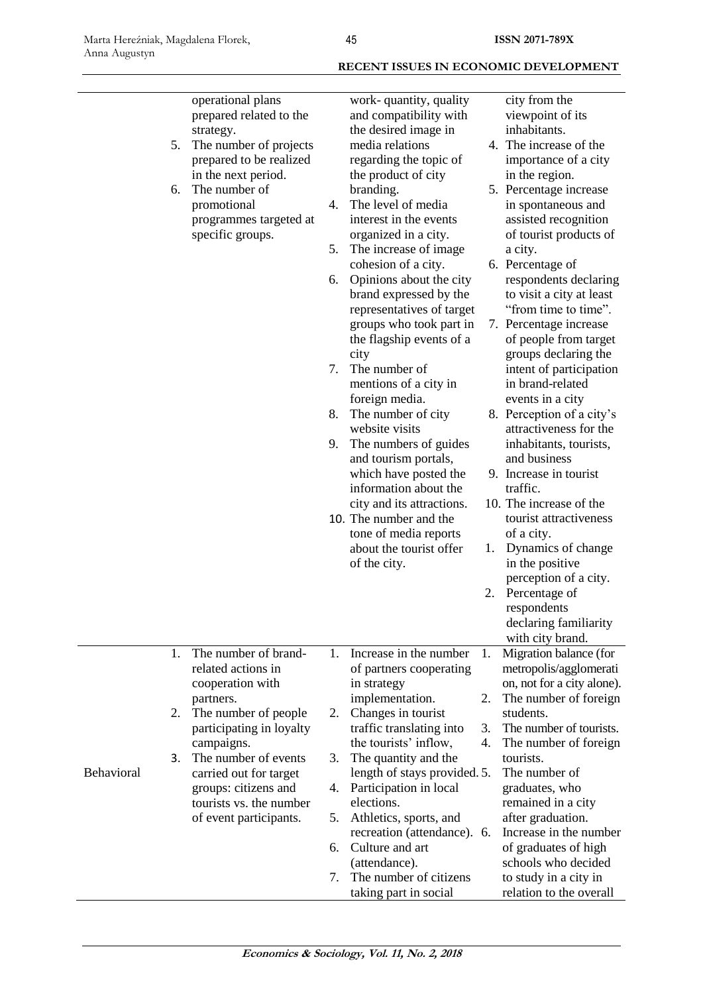|            | operational plans                      |    | work-quantity, quality                            |    | city from the                                     |
|------------|----------------------------------------|----|---------------------------------------------------|----|---------------------------------------------------|
|            | prepared related to the                |    | and compatibility with                            |    | viewpoint of its                                  |
|            | strategy.                              |    | the desired image in                              |    | inhabitants.                                      |
| 5.         | The number of projects                 |    | media relations                                   |    | 4. The increase of the                            |
|            | prepared to be realized                |    | regarding the topic of                            |    | importance of a city                              |
|            | in the next period.                    |    | the product of city                               |    | in the region.                                    |
| 6.         | The number of                          |    | branding.                                         |    | 5. Percentage increase                            |
|            | promotional                            | 4. | The level of media                                |    | in spontaneous and                                |
|            | programmes targeted at                 |    | interest in the events                            |    | assisted recognition                              |
|            | specific groups.                       | 5. | organized in a city.                              |    | of tourist products of                            |
|            |                                        |    | The increase of image.                            |    | a city.                                           |
|            |                                        |    | cohesion of a city.                               |    | 6. Percentage of                                  |
|            |                                        | 6. | Opinions about the city<br>brand expressed by the |    | respondents declaring<br>to visit a city at least |
|            |                                        |    | representatives of target                         |    | "from time to time".                              |
|            |                                        |    | groups who took part in                           |    | 7. Percentage increase                            |
|            |                                        |    | the flagship events of a                          |    | of people from target                             |
|            |                                        |    | city                                              |    | groups declaring the                              |
|            |                                        | 7. | The number of                                     |    | intent of participation                           |
|            |                                        |    | mentions of a city in                             |    | in brand-related                                  |
|            |                                        |    | foreign media.                                    |    | events in a city                                  |
|            |                                        | 8. | The number of city                                |    | 8. Perception of a city's                         |
|            |                                        |    | website visits                                    |    | attractiveness for the                            |
|            |                                        | 9. | The numbers of guides                             |    | inhabitants, tourists,                            |
|            |                                        |    | and tourism portals,                              |    | and business                                      |
|            |                                        |    | which have posted the                             |    | 9. Increase in tourist                            |
|            |                                        |    | information about the                             |    | traffic.                                          |
|            |                                        |    | city and its attractions.                         |    | 10. The increase of the                           |
|            |                                        |    | 10. The number and the                            |    | tourist attractiveness                            |
|            |                                        |    | tone of media reports                             |    | of a city.                                        |
|            |                                        |    | about the tourist offer                           | 1. | Dynamics of change                                |
|            |                                        |    | of the city.                                      |    | in the positive                                   |
|            |                                        |    |                                                   |    | perception of a city.                             |
|            |                                        |    |                                                   | 2. | Percentage of                                     |
|            |                                        |    |                                                   |    | respondents                                       |
|            |                                        |    |                                                   |    | declaring familiarity                             |
|            |                                        |    |                                                   |    | with city brand.                                  |
| 1.         | The number of brand-                   | 1. | Increase in the number                            | 1. | Migration balance (for                            |
|            | related actions in                     |    | of partners cooperating                           |    | metropolis/agglomerati                            |
|            | cooperation with                       |    | in strategy                                       |    | on, not for a city alone).                        |
|            | partners.                              |    | implementation.                                   | 2. | The number of foreign                             |
| 2.         | The number of people                   | 2. | Changes in tourist                                | 3. | students.<br>The number of tourists.              |
|            | participating in loyalty<br>campaigns. |    | traffic translating into<br>the tourists' inflow, | 4. | The number of foreign                             |
| 3.         | The number of events                   | 3. | The quantity and the                              |    | tourists.                                         |
| Behavioral | carried out for target                 |    | length of stays provided. 5.                      |    | The number of                                     |
|            | groups: citizens and                   | 4. | Participation in local                            |    | graduates, who                                    |
|            | tourists vs. the number                |    | elections.                                        |    | remained in a city                                |
|            | of event participants.                 | 5. | Athletics, sports, and                            |    | after graduation.                                 |
|            |                                        |    | recreation (attendance). 6.                       |    | Increase in the number                            |
|            |                                        | 6. | Culture and art                                   |    | of graduates of high                              |
|            |                                        |    | (attendance).                                     |    | schools who decided                               |
|            |                                        | 7. | The number of citizens                            |    | to study in a city in                             |
|            |                                        |    | taking part in social                             |    | relation to the overall                           |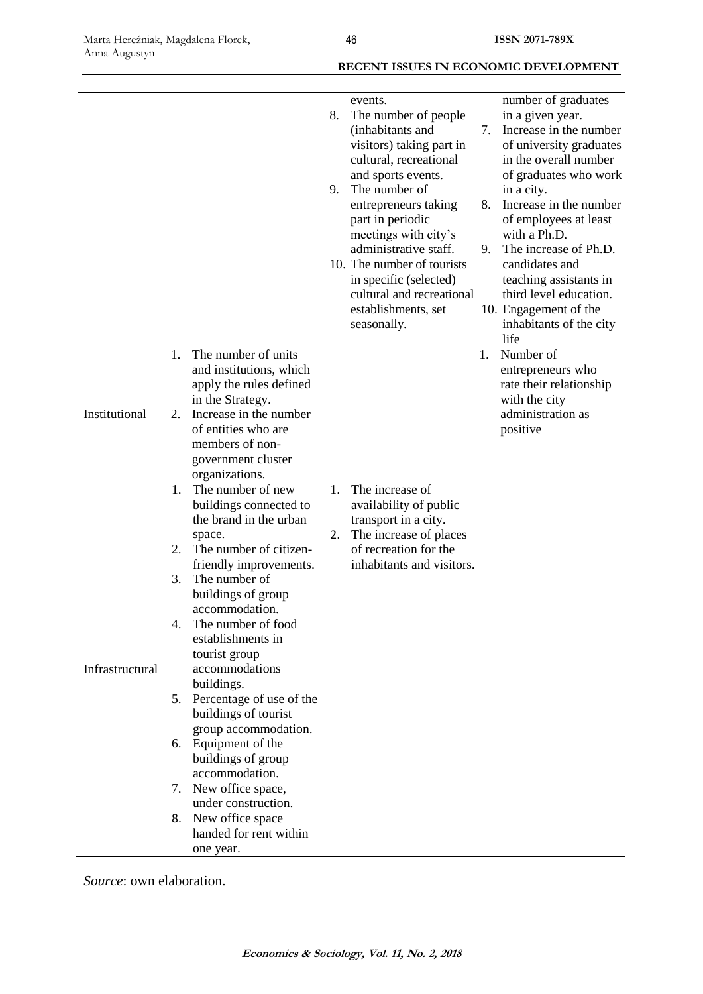|                 |                                        |                                                                                                                                                                                                                                                                                                                                                                                                                                                                                                                                            | 8.<br>9. | events.<br>The number of people<br>(inhabitants and<br>visitors) taking part in<br>cultural, recreational<br>and sports events.<br>The number of<br>entrepreneurs taking<br>part in periodic<br>meetings with city's<br>administrative staff.<br>10. The number of tourists<br>in specific (selected)<br>cultural and recreational<br>establishments, set<br>seasonally. | 7.<br>8.<br>9. | number of graduates<br>in a given year.<br>Increase in the number<br>of university graduates<br>in the overall number<br>of graduates who work<br>in a city.<br>Increase in the number<br>of employees at least<br>with a Ph.D.<br>The increase of Ph.D.<br>candidates and<br>teaching assistants in<br>third level education.<br>10. Engagement of the<br>inhabitants of the city<br>life |
|-----------------|----------------------------------------|--------------------------------------------------------------------------------------------------------------------------------------------------------------------------------------------------------------------------------------------------------------------------------------------------------------------------------------------------------------------------------------------------------------------------------------------------------------------------------------------------------------------------------------------|----------|--------------------------------------------------------------------------------------------------------------------------------------------------------------------------------------------------------------------------------------------------------------------------------------------------------------------------------------------------------------------------|----------------|--------------------------------------------------------------------------------------------------------------------------------------------------------------------------------------------------------------------------------------------------------------------------------------------------------------------------------------------------------------------------------------------|
| Institutional   | 1.<br>2.                               | The number of units<br>and institutions, which<br>apply the rules defined<br>in the Strategy.<br>Increase in the number<br>of entities who are<br>members of non-<br>government cluster<br>organizations.                                                                                                                                                                                                                                                                                                                                  |          |                                                                                                                                                                                                                                                                                                                                                                          | 1.             | Number of<br>entrepreneurs who<br>rate their relationship<br>with the city<br>administration as<br>positive                                                                                                                                                                                                                                                                                |
| Infrastructural | 1.<br>2.<br>3.<br>4.<br>5.<br>7.<br>8. | The number of new<br>buildings connected to<br>the brand in the urban<br>space.<br>The number of citizen-<br>friendly improvements.<br>The number of<br>buildings of group<br>accommodation.<br>The number of food<br>establishments in<br>tourist group<br>accommodations<br>buildings.<br>Percentage of use of the<br>buildings of tourist<br>group accommodation.<br>6. Equipment of the<br>buildings of group<br>accommodation.<br>New office space,<br>under construction.<br>New office space<br>handed for rent within<br>one year. | 1.<br>2. | The increase of<br>availability of public<br>transport in a city.<br>The increase of places<br>of recreation for the<br>inhabitants and visitors.                                                                                                                                                                                                                        |                |                                                                                                                                                                                                                                                                                                                                                                                            |

*Source*: own elaboration.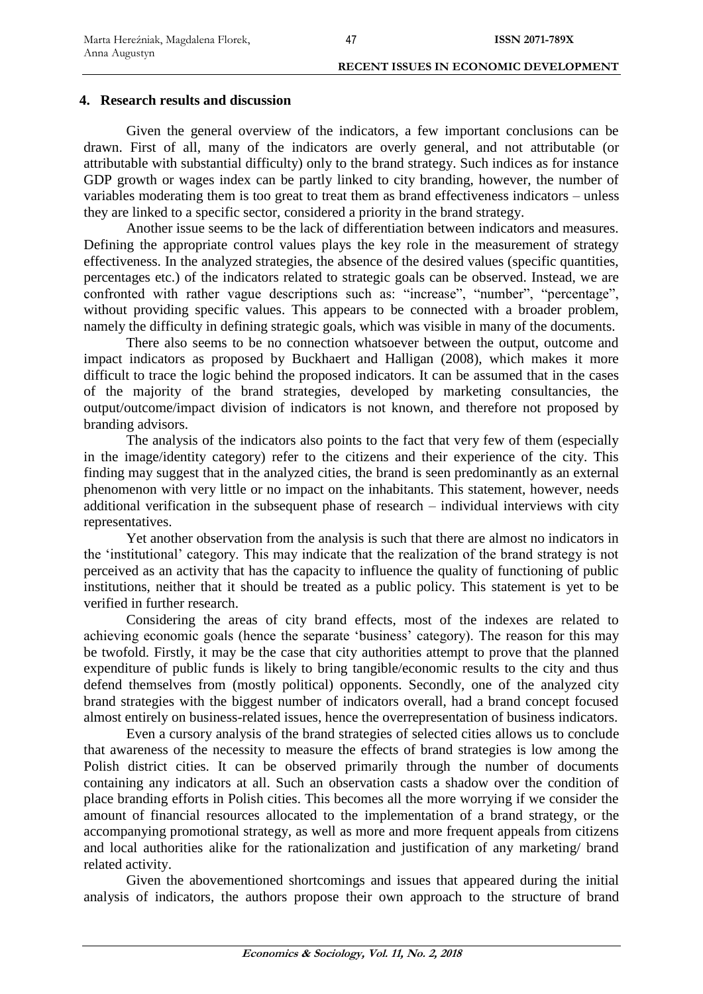### **4. Research results and discussion**

Given the general overview of the indicators, a few important conclusions can be drawn. First of all, many of the indicators are overly general, and not attributable (or attributable with substantial difficulty) only to the brand strategy. Such indices as for instance GDP growth or wages index can be partly linked to city branding, however, the number of variables moderating them is too great to treat them as brand effectiveness indicators – unless they are linked to a specific sector, considered a priority in the brand strategy.

Another issue seems to be the lack of differentiation between indicators and measures. Defining the appropriate control values plays the key role in the measurement of strategy effectiveness. In the analyzed strategies, the absence of the desired values (specific quantities, percentages etc.) of the indicators related to strategic goals can be observed. Instead, we are confronted with rather vague descriptions such as: "increase", "number", "percentage", without providing specific values. This appears to be connected with a broader problem, namely the difficulty in defining strategic goals, which was visible in many of the documents.

There also seems to be no connection whatsoever between the output, outcome and impact indicators as proposed by Buckhaert and Halligan (2008), which makes it more difficult to trace the logic behind the proposed indicators. It can be assumed that in the cases of the majority of the brand strategies, developed by marketing consultancies, the output/outcome/impact division of indicators is not known, and therefore not proposed by branding advisors.

The analysis of the indicators also points to the fact that very few of them (especially in the image/identity category) refer to the citizens and their experience of the city. This finding may suggest that in the analyzed cities, the brand is seen predominantly as an external phenomenon with very little or no impact on the inhabitants. This statement, however, needs additional verification in the subsequent phase of research – individual interviews with city representatives.

Yet another observation from the analysis is such that there are almost no indicators in the 'institutional' category. This may indicate that the realization of the brand strategy is not perceived as an activity that has the capacity to influence the quality of functioning of public institutions, neither that it should be treated as a public policy. This statement is yet to be verified in further research.

Considering the areas of city brand effects, most of the indexes are related to achieving economic goals (hence the separate 'business' category). The reason for this may be twofold. Firstly, it may be the case that city authorities attempt to prove that the planned expenditure of public funds is likely to bring tangible/economic results to the city and thus defend themselves from (mostly political) opponents. Secondly, one of the analyzed city brand strategies with the biggest number of indicators overall, had a brand concept focused almost entirely on business-related issues, hence the overrepresentation of business indicators.

Even a cursory analysis of the brand strategies of selected cities allows us to conclude that awareness of the necessity to measure the effects of brand strategies is low among the Polish district cities. It can be observed primarily through the number of documents containing any indicators at all. Such an observation casts a shadow over the condition of place branding efforts in Polish cities. This becomes all the more worrying if we consider the amount of financial resources allocated to the implementation of a brand strategy, or the accompanying promotional strategy, as well as more and more frequent appeals from citizens and local authorities alike for the rationalization and justification of any marketing/ brand related activity.

Given the abovementioned shortcomings and issues that appeared during the initial analysis of indicators, the authors propose their own approach to the structure of brand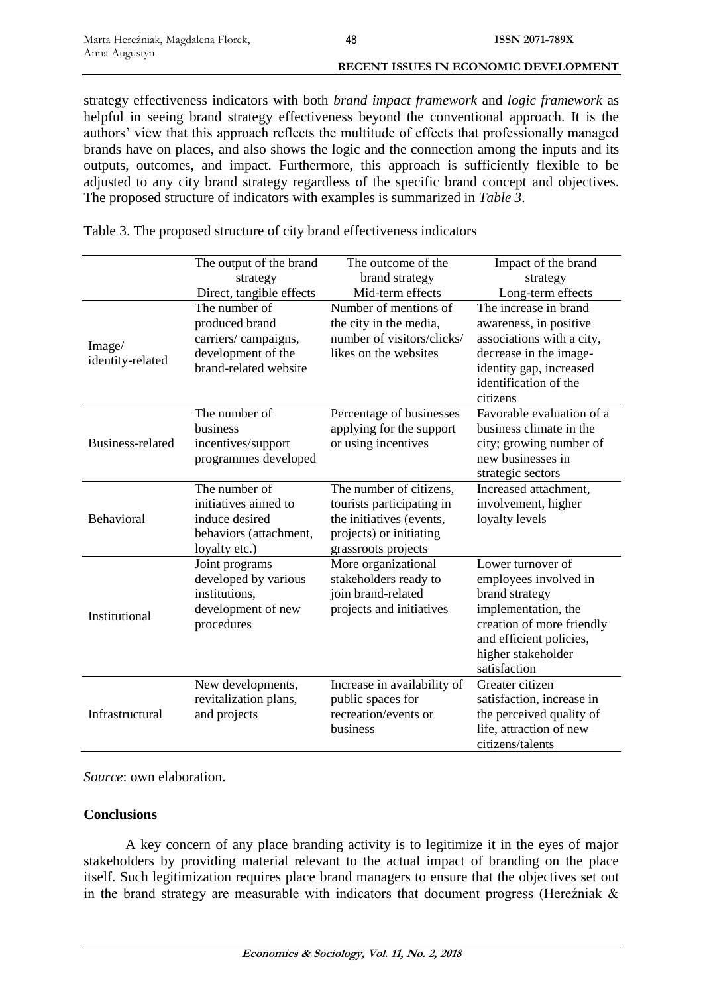strategy effectiveness indicators with both *brand impact framework* and *logic framework* as helpful in seeing brand strategy effectiveness beyond the conventional approach. It is the authors' view that this approach reflects the multitude of effects that professionally managed brands have on places, and also shows the logic and the connection among the inputs and its outputs, outcomes, and impact. Furthermore, this approach is sufficiently flexible to be adjusted to any city brand strategy regardless of the specific brand concept and objectives. The proposed structure of indicators with examples is summarized in *Table 3*.

Table 3. The proposed structure of city brand effectiveness indicators

|                            | The output of the brand                                                                                                                   | The outcome of the                                                                                                                                             | Impact of the brand                                                                                                                                                                                                            |
|----------------------------|-------------------------------------------------------------------------------------------------------------------------------------------|----------------------------------------------------------------------------------------------------------------------------------------------------------------|--------------------------------------------------------------------------------------------------------------------------------------------------------------------------------------------------------------------------------|
|                            | strategy                                                                                                                                  | brand strategy                                                                                                                                                 | strategy                                                                                                                                                                                                                       |
|                            | Direct, tangible effects                                                                                                                  | Mid-term effects                                                                                                                                               | Long-term effects                                                                                                                                                                                                              |
| Image/<br>identity-related | The number of<br>produced brand<br>carriers/campaigns,<br>development of the<br>brand-related website<br>The number of<br><b>business</b> | Number of mentions of<br>the city in the media,<br>number of visitors/clicks/<br>likes on the websites<br>Percentage of businesses<br>applying for the support | The increase in brand<br>awareness, in positive<br>associations with a city,<br>decrease in the image-<br>identity gap, increased<br>identification of the<br>citizens<br>Favorable evaluation of a<br>business climate in the |
| Business-related           | incentives/support<br>programmes developed                                                                                                | or using incentives                                                                                                                                            | city; growing number of<br>new businesses in<br>strategic sectors                                                                                                                                                              |
| Behavioral                 | The number of<br>initiatives aimed to<br>induce desired<br>behaviors (attachment,<br>loyalty etc.)                                        | The number of citizens,<br>tourists participating in<br>the initiatives (events,<br>projects) or initiating<br>grassroots projects                             | Increased attachment,<br>involvement, higher<br>loyalty levels                                                                                                                                                                 |
| Institutional              | Joint programs<br>developed by various<br>institutions.<br>development of new<br>procedures                                               | More organizational<br>stakeholders ready to<br>join brand-related<br>projects and initiatives                                                                 | Lower turnover of<br>employees involved in<br>brand strategy<br>implementation, the<br>creation of more friendly<br>and efficient policies,<br>higher stakeholder<br>satisfaction                                              |
| Infrastructural            | New developments,<br>revitalization plans,<br>and projects                                                                                | Increase in availability of<br>public spaces for<br>recreation/events or<br>business                                                                           | Greater citizen<br>satisfaction, increase in<br>the perceived quality of<br>life, attraction of new<br>citizens/talents                                                                                                        |

*Source*: own elaboration.

### **Conclusions**

A key concern of any place branding activity is to legitimize it in the eyes of major stakeholders by providing material relevant to the actual impact of branding on the place itself. Such legitimization requires place brand managers to ensure that the objectives set out in the brand strategy are measurable with indicators that document progress (Here $\zeta$ niak  $\&$ 

**Economics & Sociology, Vol. 11, No. 2, 2018**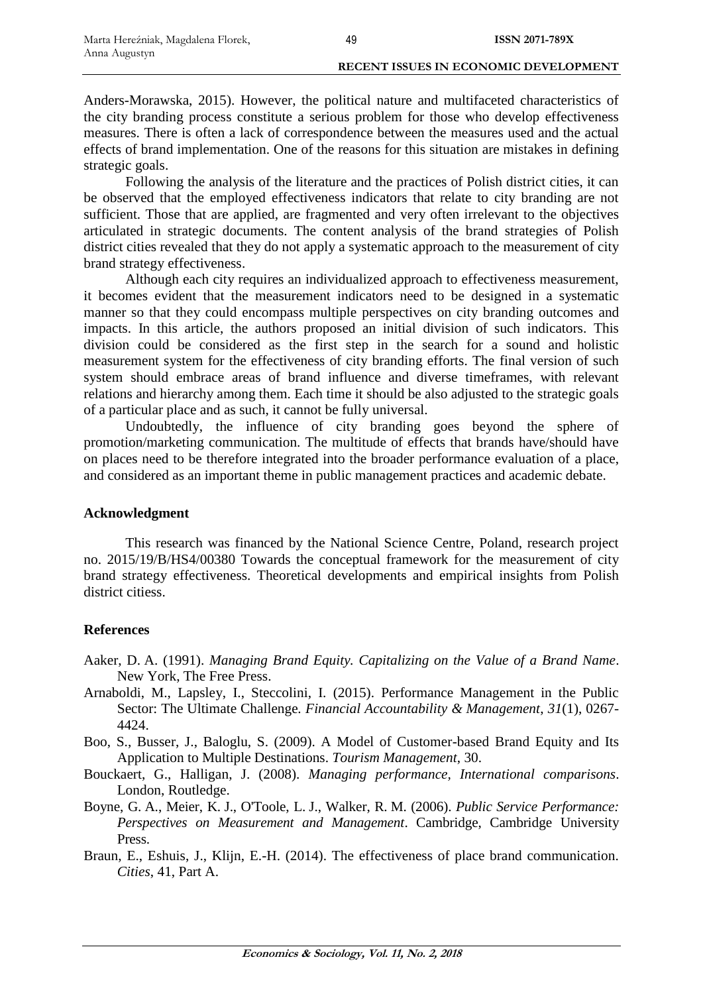Anders-Morawska, 2015). However, the political nature and multifaceted characteristics of the city branding process constitute a serious problem for those who develop effectiveness measures. There is often a lack of correspondence between the measures used and the actual effects of brand implementation. One of the reasons for this situation are mistakes in defining strategic goals.

Following the analysis of the literature and the practices of Polish district cities, it can be observed that the employed effectiveness indicators that relate to city branding are not sufficient. Those that are applied, are fragmented and very often irrelevant to the objectives articulated in strategic documents. The content analysis of the brand strategies of Polish district cities revealed that they do not apply a systematic approach to the measurement of city brand strategy effectiveness.

Although each city requires an individualized approach to effectiveness measurement, it becomes evident that the measurement indicators need to be designed in a systematic manner so that they could encompass multiple perspectives on city branding outcomes and impacts. In this article, the authors proposed an initial division of such indicators. This division could be considered as the first step in the search for a sound and holistic measurement system for the effectiveness of city branding efforts. The final version of such system should embrace areas of brand influence and diverse timeframes, with relevant relations and hierarchy among them. Each time it should be also adjusted to the strategic goals of a particular place and as such, it cannot be fully universal.

Undoubtedly, the influence of city branding goes beyond the sphere of promotion/marketing communication. The multitude of effects that brands have/should have on places need to be therefore integrated into the broader performance evaluation of a place, and considered as an important theme in public management practices and academic debate.

### **Acknowledgment**

This research was financed by the National Science Centre, Poland, research project no. 2015/19/B/HS4/00380 Towards the conceptual framework for the measurement of city brand strategy effectiveness. Theoretical developments and empirical insights from Polish district citiess.

### **References**

- Aaker, D. A. (1991). *Managing Brand Equity. Capitalizing on the Value of a Brand Name*. New York, The Free Press.
- Arnaboldi, M., Lapsley, I., Steccolini, I. (2015). Performance Management in the Public Sector: The Ultimate Challenge*. Financial Accountability & Management*, *31*(1), 0267- 4424.
- Boo, S., Busser, J., Baloglu, S. (2009). A Model of Customer-based Brand Equity and Its Application to Multiple Destinations. *Tourism Management*, 30.
- Bouckaert, G., Halligan, J. (2008). *Managing performance, International comparisons*. London, Routledge.
- Boyne, G. A., Meier, K. J., O'Toole, L. J., Walker, R. M. (2006). *Public Service Performance: Perspectives on Measurement and Management*. Cambridge, Cambridge University Press.
- Braun, E., Eshuis, J., Klijn, E.-H. (2014). The effectiveness of place brand communication. *Cities*, 41, Part A.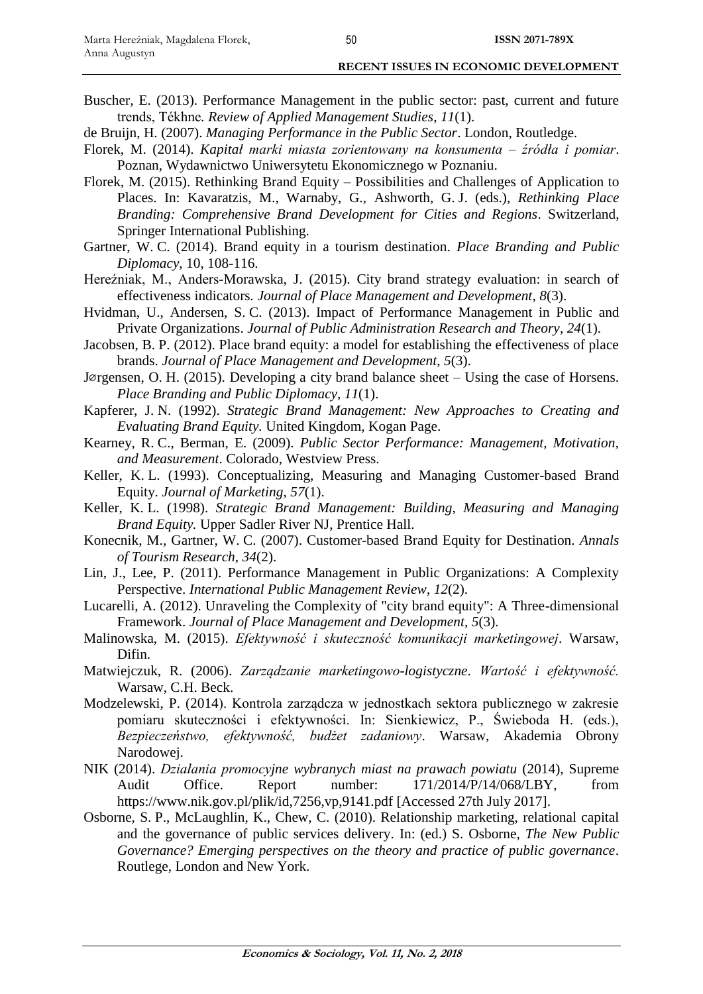Buscher, E. (2013). Performance Management in the public sector: past, current and future trends, Tékhne*. Review of Applied Management Studies*, *11*(1).

- de Bruijn, H. (2007). *Managing Performance in the Public Sector*. London, Routledge.
- Florek, M. (2014). *Kapitał marki miasta zorientowany na konsumenta – źródła i pomiar*. Poznan, Wydawnictwo Uniwersytetu Ekonomicznego w Poznaniu.
- Florek, M. (2015). Rethinking Brand Equity Possibilities and Challenges of Application to Places. In: Kavaratzis, M., Warnaby, G., Ashworth, G. J. (eds.), *Rethinking Place Branding: Comprehensive Brand Development for Cities and Regions*. Switzerland, Springer International Publishing.
- Gartner, W. C. (2014). Brand equity in a tourism destination. *Place Branding and Public Diplomacy*, 10, 108-116.
- Hereźniak, M., Anders-Morawska, J. (2015). City brand strategy evaluation: in search of effectiveness indicators*. Journal of Place Management and Development*, *8*(3).
- Hvidman, U., Andersen, S. C. (2013). Impact of Performance Management in Public and Private Organizations. *Journal of Public Administration Research and Theory*, *24*(1).
- Jacobsen, B. P. (2012). Place brand equity: a model for establishing the effectiveness of place brands. *Journal of Place Management and Development*, *5*(3).
- Jørgensen, O. H. (2015). Developing a city brand balance sheet Using the case of Horsens. *Place Branding and Public Diplomacy*, *11*(1).
- Kapferer, J. N. (1992). *Strategic Brand Management: New Approaches to Creating and Evaluating Brand Equity.* United Kingdom, Kogan Page.
- Kearney, R. C., Berman, E. (2009). *Public Sector Performance: Management, Motivation, and Measurement*. Colorado, Westview Press.
- Keller, K. L. (1993). Conceptualizing, Measuring and Managing Customer-based Brand Equity. *Journal of Marketing*, *57*(1).
- Keller, K. L. (1998). *Strategic Brand Management: Building, Measuring and Managing Brand Equity.* Upper Sadler River NJ, Prentice Hall.
- Konecnik, M., Gartner, W. C. (2007). Customer-based Brand Equity for Destination. *Annals of Tourism Research*, *34*(2).
- Lin, J., Lee, P. (2011). Performance Management in Public Organizations: A Complexity Perspective. *International Public Management Review*, *12*(2).
- Lucarelli, A. (2012). Unraveling the Complexity of "city brand equity": A Three-dimensional Framework. *Journal of Place Management and Development*, *5*(3).
- Malinowska, M. (2015). *Efektywność i skuteczność komunikacji marketingowej*. Warsaw, Difin.
- Matwiejczuk, R. (2006). *Zarządzanie marketingowo-logistyczne*. *Wartość i efektywność.* Warsaw, C.H. Beck.
- Modzelewski, P. (2014). Kontrola zarządcza w jednostkach sektora publicznego w zakresie pomiaru skuteczności i efektywności. In: Sienkiewicz, P., Świeboda H. (eds.), *Bezpieczeństwo, efektywność, budżet zadaniowy*. Warsaw, Akademia Obrony Narodowej.
- NIK (2014). *Działania promocyjne wybranych miast na prawach powiatu* (2014), Supreme Audit Office. Report number:  $171/2014/P/14/068/LBY$ , from https://www.nik.gov.pl/plik/id,7256,vp,9141.pdf [Accessed 27th July 2017].
- Osborne, S. P., McLaughlin, K., Chew, C. (2010). Relationship marketing, relational capital and the governance of public services delivery. In: (ed.) S. Osborne, *The New Public Governance? Emerging perspectives on the theory and practice of public governance*. Routlege, London and New York.